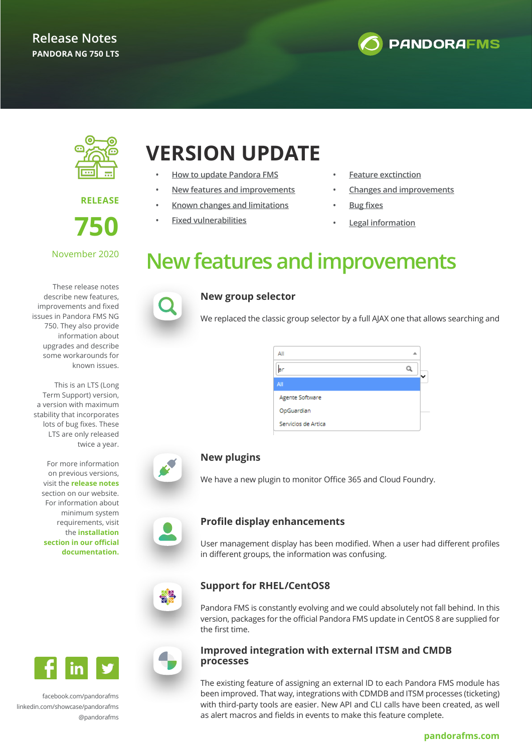



**RELEASE 750**

### November 2020

These release notes describe new features, improvements and fixed issues in Pandora FMS NG 750. They also provide information about upgrades and describe some workarounds for known issues.

This is an LTS (Long Term Support) version, a version with maximum stability that incorporates lots of bug fixes. These LTS are only released twice a year.

For more information on previous versions, visit the **[release notes](https://pandorafms.org/features/updates-releases/)** section on our website. For information about minimum system requirements, visit the **[installation](https://pandorafms.com/docs/index.php?title=Pandora:Documentation_en:Installing) [section in our official](https://pandorafms.com/docs/index.php?title=Pandora:Documentation_en:Installing) [documentation.](https://pandorafms.com/docs/index.php?title=Pandora:Documentation_en:Installing)**

## **VERSION UPDATE**

- **• [How to update Pandora FMS](#page-1-0)**
- **• New features and improvements**
- **• [Known changes and limitations](#page-1-0)**
- **• [Fixed vulnerabilities](#page-1-0)**
- **• [Feature exctinction](#page-1-0)**
- **• [Changes and improvements](#page-2-0)**
- **• [Bug fixes](#page-4-0)**
- **• [Legal information](#page-10-0)**

## **New features and improvements**



### **New group selector**

We replaced the classic group selector by a full AJAX one that allows searching and

| All                 |  |
|---------------------|--|
| ar                  |  |
| All                 |  |
| Agente Software     |  |
| OpGuardian          |  |
| Servicios de Artica |  |

### **New plugins**

We have a new plugin to monitor Office 365 and Cloud Foundry.



### **Profile display enhancements**

User management display has been modified. When a user had different profiles in different groups, the information was confusing.

### **Support for RHEL/CentOS8**

Pandora FMS is constantly evolving and we could absolutely not fall behind. In this version, packages for the official Pandora FMS update in CentOS 8 are supplied for the first time.

### **Improved integration with external ITSM and CMDB**

The existing feature of assigning an external ID to each Pandora FMS module has been improved. That way, integrations with CDMDB and ITSM processes (ticketing) with third-party tools are easier. New API and CLI calls have been created, as well as alert macros and fields in events to make this feature complete.

[facebook.com/pandorafms](https://es-es.facebook.com/pandorafms/) [linkedin.com/showcase/pandorafms](https://www.linkedin.com/showcase/pandorafms) [@pandorafms](https://twitter.com/pandorafms)

in



## **processes**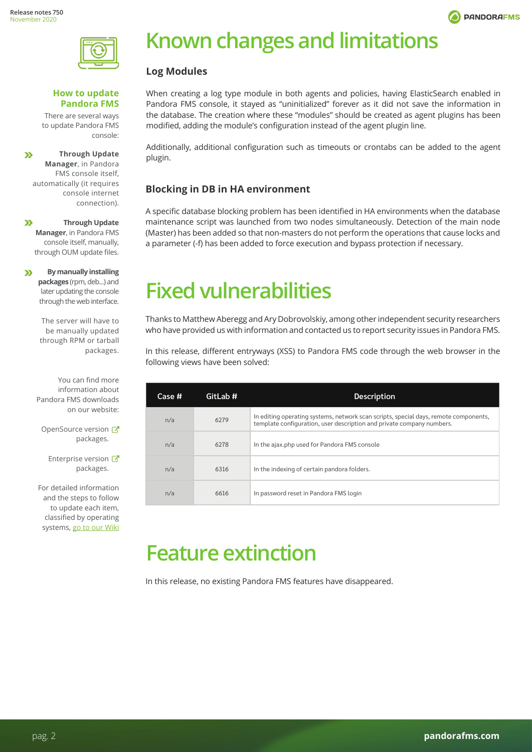

<span id="page-1-0"></span>

#### **How to update Pandora FMS**

There are several ways to update Pandora FMS console:

**Through Update**   $\mathbf{v}$ **Manager**, in Pandora FMS console itself, automatically (it requires console internet connection).

 $\mathbf{v}$ **Through Update Manager**, in Pandora FMS console itself, manually, through OUM update files.

**By manually installing**   $\mathbf{v}$ **packages** (rpm, deb...) and later updating the console through the web interface.

> The server will have to be manually updated through RPM or tarball packages.

You can find more information about Pandora FMS downloads on our website:

OpenSourceversion packages.

Enterpriseversion packages.

For detailed information and the steps to follow to update each item, classified by operating systems, go to our Wiki

## **Known changes and limitations**

### **Log Modules**

When creating a log type module in both agents and policies, having ElasticSearch enabled in Pandora FMS console, it stayed as "uninitialized" forever as it did not save the information in the database. The creation where these "modules" should be created as agent plugins has been modified, adding the module's configuration instead of the agent plugin line.

Additionally, additional configuration such as timeouts or crontabs can be added to the agent plugin.

### **Blocking in DB in HA environment**

A specific database blocking problem has been identified in HA environments when the database maintenance script was launched from two nodes simultaneously. Detection of the main node (Master) has been added so that non-masters do not perform the operations that cause locks and a parameter (-f) has been added to force execution and bypass protection if necessary.

## **Fixed vulnerabilities**

Thanks to Matthew Aberegg and Ary Dobrovolskiy, among other independent security researchers who have provided us with information and contacted us to report security issues in Pandora FMS.

In this release, different entryways (XSS) to Pandora FMS code through the web browser in the following views have been solved:

| Case # | GitLab # | <b>Description</b>                                                                                                                                            |
|--------|----------|---------------------------------------------------------------------------------------------------------------------------------------------------------------|
| n/a    | 6279     | In editing operating systems, network scan scripts, special days, remote components,<br>template configuration, user description and private company numbers. |
| n/a    | 6278     | In the ajax.php used for Pandora FMS console                                                                                                                  |
| n/a    | 6316     | In the indexing of certain pandora folders.                                                                                                                   |
| n/a    | 6616     | In password reset in Pandora FMS login                                                                                                                        |

## **Feature extinction**

In this release, no existing Pandora FMS features have disappeared.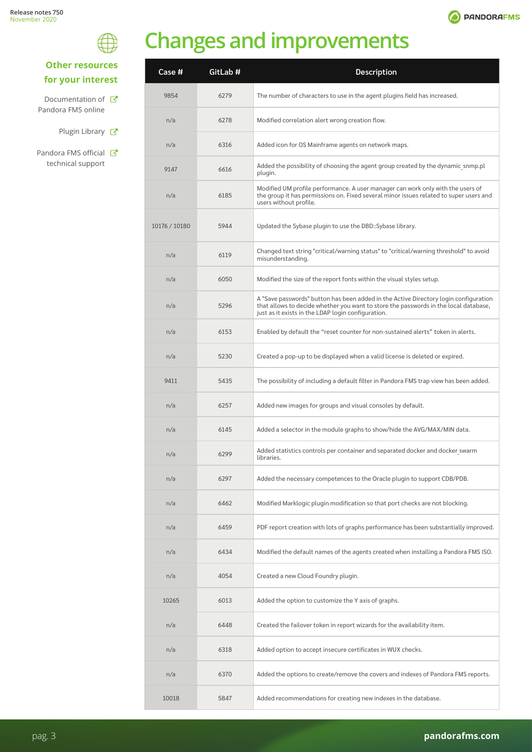



# **Changes and improvements**

<span id="page-2-0"></span>

| <b>Other resources</b> |
|------------------------|
| for your interest      |

```
Documentation of C
Pandora FMS online
```
- Plugin Library  $C$
- Pandora FMS official C technical support

| <b>Case #</b> | GitLab # | <b>Description</b>                                                                                                                                                                                                                 |
|---------------|----------|------------------------------------------------------------------------------------------------------------------------------------------------------------------------------------------------------------------------------------|
| 9854          | 6279     | The number of characters to use in the agent plugins field has increased.                                                                                                                                                          |
| n/a           | 6278     | Modified correlation alert wrong creation flow.                                                                                                                                                                                    |
| n/a           | 6316     | Added icon for OS Mainframe agents on network maps.                                                                                                                                                                                |
| 9147          | 6616     | Added the possibility of choosing the agent group created by the dynamic snmp.pl<br>plugin.                                                                                                                                        |
| n/a           | 6185     | Modified UM profile performance. A user manager can work only with the users of<br>the group it has permissions on. Fixed several minor issues related to super users and<br>users without profile.                                |
| 10176 / 10180 | 5944     | Updated the Sybase plugin to use the DBD::Sybase library.                                                                                                                                                                          |
| n/a           | 6119     | Changed text string "critical/warning status" to "critical/warning threshold" to avoid<br>misunderstanding.                                                                                                                        |
| n/a           | 6050     | Modified the size of the report fonts within the visual styles setup.                                                                                                                                                              |
| n/a           | 5296     | A "Save passwords" button has been added in the Active Directory login configuration<br>that allows to decide whether you want to store the passwords in the local database,<br>just as it exists in the LDAP login configuration. |
| n/a           | 6153     | Enabled by default the "reset counter for non-sustained alerts" token in alerts.                                                                                                                                                   |
| n/a           | 5230     | Created a pop-up to be displayed when a valid license is deleted or expired.                                                                                                                                                       |
| 9411          | 5435     | The possibility of including a default filter in Pandora FMS trap view has been added.                                                                                                                                             |
| n/a           | 6257     | Added new images for groups and visual consoles by default.                                                                                                                                                                        |
| n/a           | 6145     | Added a selector in the module graphs to show/hide the AVG/MAX/MIN data.                                                                                                                                                           |
| n/a           | 6299     | Added statistics controls per container and separated docker and docker swarm<br>libraries.                                                                                                                                        |
| n/a           | 6297     | Added the necessary competences to the Oracle plugin to support CDB/PDB.                                                                                                                                                           |
| n/a           | 6462     | Modified Marklogic plugin modification so that port checks are not blocking.                                                                                                                                                       |
| n/a           | 6459     | PDF report creation with lots of graphs performance has been substantially improved.                                                                                                                                               |
| n/a           | 6434     | Modified the default names of the agents created when installing a Pandora FMS ISO.                                                                                                                                                |
| n/a           | 4054     | Created a new Cloud Foundry plugin.                                                                                                                                                                                                |
| 10265         | 6013     | Added the option to customize the Y axis of graphs.                                                                                                                                                                                |
| n/a           | 6448     | Created the failover token in report wizards for the availability item.                                                                                                                                                            |
| n/a           | 6318     | Added option to accept insecure certificates in WUX checks.                                                                                                                                                                        |
| n/a           | 6370     | Added the options to create/remove the covers and indexes of Pandora FMS reports.                                                                                                                                                  |
| 10018         | 5847     | Added recommendations for creating new indexes in the database.                                                                                                                                                                    |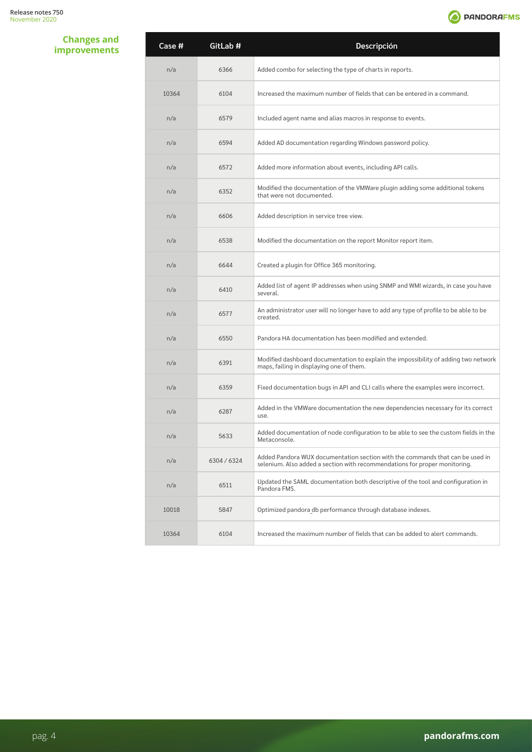**O** PANDORAFMS

**Changes and improvements**

| Case # | GitLab #  | Descripción                                                                                                                                                 |
|--------|-----------|-------------------------------------------------------------------------------------------------------------------------------------------------------------|
| n/a    | 6366      | Added combo for selecting the type of charts in reports.                                                                                                    |
| 10364  | 6104      | Increased the maximum number of fields that can be entered in a command.                                                                                    |
| n/a    | 6579      | Included agent name and alias macros in response to events.                                                                                                 |
| n/a    | 6594      | Added AD documentation regarding Windows password policy.                                                                                                   |
| n/a    | 6572      | Added more information about events, including API calls.                                                                                                   |
| n/a    | 6352      | Modified the documentation of the VMWare plugin adding some additional tokens<br>that were not documented.                                                  |
| n/a    | 6606      | Added description in service tree view.                                                                                                                     |
| n/a    | 6538      | Modified the documentation on the report Monitor report item.                                                                                               |
| n/a    | 6644      | Created a plugin for Office 365 monitoring.                                                                                                                 |
| n/a    | 6410      | Added list of agent IP addresses when using SNMP and WMI wizards, in case you have<br>several.                                                              |
| n/a    | 6577      | An administrator user will no longer have to add any type of profile to be able to be<br>created.                                                           |
| n/a    | 6550      | Pandora HA documentation has been modified and extended.                                                                                                    |
| n/a    | 6391      | Modified dashboard documentation to explain the impossibility of adding two network<br>maps, failing in displaying one of them.                             |
| n/a    | 6359      | Fixed documentation bugs in API and CLI calls where the examples were incorrect.                                                                            |
| n/a    | 6287      | Added in the VMWare documentation the new dependencies necessary for its correct<br>use.                                                                    |
| n/a    | 5633      | Added documentation of node configuration to be able to see the custom fields in the<br>Metaconsole.                                                        |
| n/a    | 6304/6324 | Added Pandora WUX documentation section with the commands that can be used in<br>selenium. Also added a section with recommendations for proper monitoring. |
| n/a    | 6511      | Updated the SAML documentation both descriptive of the tool and configuration in<br>Pandora FMS.                                                            |
| 10018  | 5847      | Optimized pandora db performance through database indexes.                                                                                                  |
| 10364  | 6104      | Increased the maximum number of fields that can be added to alert commands.                                                                                 |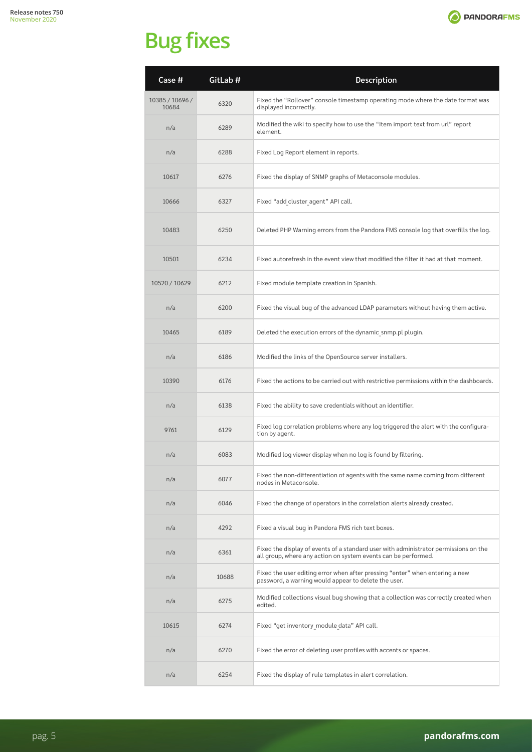

<span id="page-4-0"></span>

| Case #                   | GitLab # | <b>Description</b>                                                                                                                                     |
|--------------------------|----------|--------------------------------------------------------------------------------------------------------------------------------------------------------|
| 10385 / 10696 /<br>10684 | 6320     | Fixed the "Rollover" console timestamp operating mode where the date format was<br>displayed incorrectly.                                              |
| n/a                      | 6289     | Modified the wiki to specify how to use the "Item import text from url" report<br>element.                                                             |
| n/a                      | 6288     | Fixed Log Report element in reports.                                                                                                                   |
| 10617                    | 6276     | Fixed the display of SNMP graphs of Metaconsole modules.                                                                                               |
| 10666                    | 6327     | Fixed "add cluster agent" API call.                                                                                                                    |
| 10483                    | 6250     | Deleted PHP Warning errors from the Pandora FMS console log that overfills the log.                                                                    |
| 10501                    | 6234     | Fixed autorefresh in the event view that modified the filter it had at that moment.                                                                    |
| 10520 / 10629            | 6212     | Fixed module template creation in Spanish.                                                                                                             |
| n/a                      | 6200     | Fixed the visual bug of the advanced LDAP parameters without having them active.                                                                       |
| 10465                    | 6189     | Deleted the execution errors of the dynamic snmp.pl plugin.                                                                                            |
| n/a                      | 6186     | Modified the links of the OpenSource server installers.                                                                                                |
| 10390                    | 6176     | Fixed the actions to be carried out with restrictive permissions within the dashboards.                                                                |
| n/a                      | 6138     | Fixed the ability to save credentials without an identifier.                                                                                           |
| 9761                     | 6129     | Fixed log correlation problems where any log triggered the alert with the configura-<br>tion by agent.                                                 |
| n/a                      | 6083     | Modified log viewer display when no log is found by filtering.                                                                                         |
| n/a                      | 6077     | Fixed the non-differentiation of agents with the same name coming from different<br>nodes in Metaconsole.                                              |
| n/a                      | 6046     | Fixed the change of operators in the correlation alerts already created.                                                                               |
| n/a                      | 4292     | Fixed a visual bug in Pandora FMS rich text boxes.                                                                                                     |
| n/a                      | 6361     | Fixed the display of events of a standard user with administrator permissions on the<br>all group, where any action on system events can be performed. |
| n/a                      | 10688    | Fixed the user editing error when after pressing "enter" when entering a new<br>password, a warning would appear to delete the user.                   |
| n/a                      | 6275     | Modified collections visual bug showing that a collection was correctly created when<br>edited.                                                        |
| 10615                    | 6274     | Fixed "get inventory module data" API call.                                                                                                            |
| n/a                      | 6270     | Fixed the error of deleting user profiles with accents or spaces.                                                                                      |
| n/a                      | 6254     | Fixed the display of rule templates in alert correlation.                                                                                              |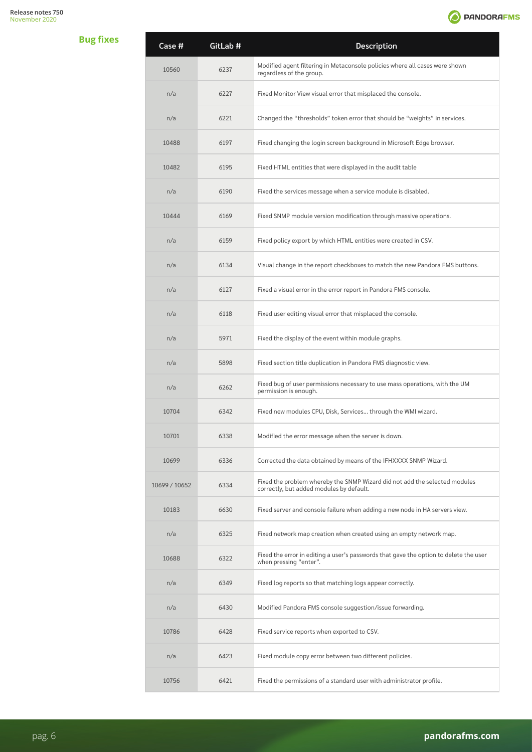

| Case #        | GitLab # | <b>Description</b>                                                                                                     |
|---------------|----------|------------------------------------------------------------------------------------------------------------------------|
| 10560         | 6237     | Modified agent filtering in Metaconsole policies where all cases were shown<br>regardless of the group.                |
| n/a           | 6227     | Fixed Monitor View visual error that misplaced the console.                                                            |
| n/a           | 6221     | Changed the "thresholds" token error that should be "weights" in services.                                             |
| 10488         | 6197     | Fixed changing the login screen background in Microsoft Edge browser.                                                  |
| 10482         | 6195     | Fixed HTML entities that were displayed in the audit table                                                             |
| n/a           | 6190     | Fixed the services message when a service module is disabled.                                                          |
| 10444         | 6169     | Fixed SNMP module version modification through massive operations.                                                     |
| n/a           | 6159     | Fixed policy export by which HTML entities were created in CSV.                                                        |
| n/a           | 6134     | Visual change in the report checkboxes to match the new Pandora FMS buttons.                                           |
| n/a           | 6127     | Fixed a visual error in the error report in Pandora FMS console.                                                       |
| n/a           | 6118     | Fixed user editing visual error that misplaced the console.                                                            |
| n/a           | 5971     | Fixed the display of the event within module graphs.                                                                   |
| n/a           | 5898     | Fixed section title duplication in Pandora FMS diagnostic view.                                                        |
| n/a           | 6262     | Fixed bug of user permissions necessary to use mass operations, with the UM<br>permission is enough.                   |
| 10704         | 6342     | Fixed new modules CPU, Disk, Services through the WMI wizard.                                                          |
| 10701         | 6338     | Modified the error message when the server is down.                                                                    |
| 10699         | 6336     | Corrected the data obtained by means of the IFHXXXX SNMP Wizard.                                                       |
| 10699 / 10652 | 6334     | Fixed the problem whereby the SNMP Wizard did not add the selected modules<br>correctly, but added modules by default. |
| 10183         | 6630     | Fixed server and console failure when adding a new node in HA servers view.                                            |
| n/a           | 6325     | Fixed network map creation when created using an empty network map.                                                    |
| 10688         | 6322     | Fixed the error in editing a user's passwords that gave the option to delete the user<br>when pressing "enter".        |
| n/a           | 6349     | Fixed log reports so that matching logs appear correctly.                                                              |
| n/a           | 6430     | Modified Pandora FMS console suggestion/issue forwarding.                                                              |
| 10786         | 6428     | Fixed service reports when exported to CSV.                                                                            |
| n/a           | 6423     | Fixed module copy error between two different policies.                                                                |
| 10756         | 6421     | Fixed the permissions of a standard user with administrator profile.                                                   |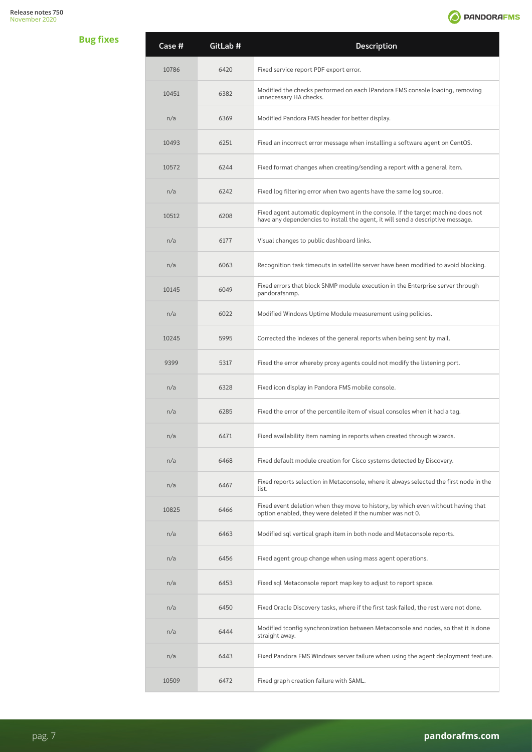

| Case # | GitLab # | Description                                                                                                                                                        |
|--------|----------|--------------------------------------------------------------------------------------------------------------------------------------------------------------------|
| 10786  | 6420     | Fixed service report PDF export error.                                                                                                                             |
| 10451  | 6382     | Modified the checks performed on each IPandora FMS console loading, removing<br>unnecessary HA checks.                                                             |
| n/a    | 6369     | Modified Pandora FMS header for better display.                                                                                                                    |
| 10493  | 6251     | Fixed an incorrect error message when installing a software agent on CentOS.                                                                                       |
| 10572  | 6244     | Fixed format changes when creating/sending a report with a general item.                                                                                           |
| n/a    | 6242     | Fixed log filtering error when two agents have the same log source.                                                                                                |
| 10512  | 6208     | Fixed agent automatic deployment in the console. If the target machine does not<br>have any dependencies to install the agent, it will send a descriptive message. |
| n/a    | 6177     | Visual changes to public dashboard links.                                                                                                                          |
| n/a    | 6063     | Recognition task timeouts in satellite server have been modified to avoid blocking.                                                                                |
| 10145  | 6049     | Fixed errors that block SNMP module execution in the Enterprise server through<br>pandorafsnmp.                                                                    |
| n/a    | 6022     | Modified Windows Uptime Module measurement using policies.                                                                                                         |
| 10245  | 5995     | Corrected the indexes of the general reports when being sent by mail.                                                                                              |
| 9399   | 5317     | Fixed the error whereby proxy agents could not modify the listening port.                                                                                          |
| n/a    | 6328     | Fixed icon display in Pandora FMS mobile console.                                                                                                                  |
| n/a    | 6285     | Fixed the error of the percentile item of visual consoles when it had a tag.                                                                                       |
| n/a    | 6471     | Fixed availability item naming in reports when created through wizards.                                                                                            |
| n/a    | 6468     | Fixed default module creation for Cisco systems detected by Discovery.                                                                                             |
| n/a    | 6467     | Fixed reports selection in Metaconsole, where it always selected the first node in the<br>list.                                                                    |
| 10825  | 6466     | Fixed event deletion when they move to history, by which even without having that<br>option enabled, they were deleted if the number was not 0.                    |
| n/a    | 6463     | Modified sql vertical graph item in both node and Metaconsole reports.                                                                                             |
| n/a    | 6456     | Fixed agent group change when using mass agent operations.                                                                                                         |
| n/a    | 6453     | Fixed sql Metaconsole report map key to adjust to report space.                                                                                                    |
| n/a    | 6450     | Fixed Oracle Discovery tasks, where if the first task failed, the rest were not done.                                                                              |
| n/a    | 6444     | Modified tconfig synchronization between Metaconsole and nodes, so that it is done<br>straight away.                                                               |
| n/a    | 6443     | Fixed Pandora FMS Windows server failure when using the agent deployment feature.                                                                                  |
| 10509  | 6472     | Fixed graph creation failure with SAML.                                                                                                                            |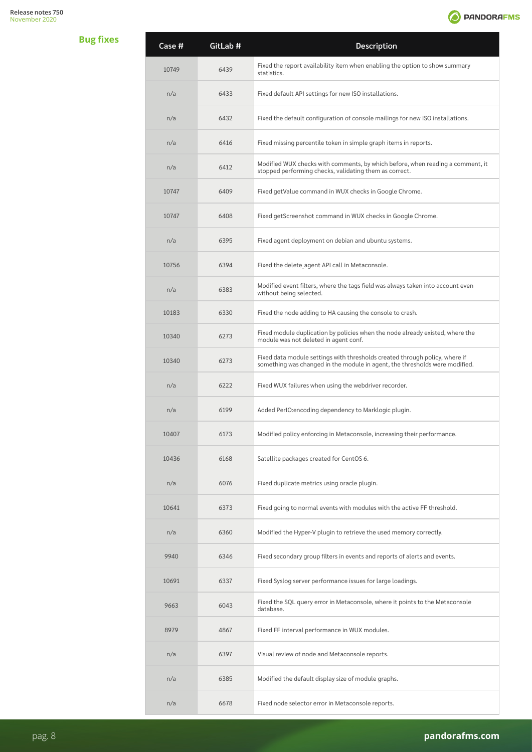

| Case # | GitLab # | Description                                                                                                                                                |
|--------|----------|------------------------------------------------------------------------------------------------------------------------------------------------------------|
| 10749  | 6439     | Fixed the report availability item when enabling the option to show summary<br>statistics.                                                                 |
| n/a    | 6433     | Fixed default API settings for new ISO installations.                                                                                                      |
| n/a    | 6432     | Fixed the default configuration of console mailings for new ISO installations.                                                                             |
| n/a    | 6416     | Fixed missing percentile token in simple graph items in reports.                                                                                           |
| n/a    | 6412     | Modified WUX checks with comments, by which before, when reading a comment, it<br>stopped performing checks, validating them as correct.                   |
| 10747  | 6409     | Fixed getValue command in WUX checks in Google Chrome.                                                                                                     |
| 10747  | 6408     | Fixed getScreenshot command in WUX checks in Google Chrome.                                                                                                |
| n/a    | 6395     | Fixed agent deployment on debian and ubuntu systems.                                                                                                       |
| 10756  | 6394     | Fixed the delete agent API call in Metaconsole.                                                                                                            |
| n/a    | 6383     | Modified event filters, where the tags field was always taken into account even<br>without being selected.                                                 |
| 10183  | 6330     | Fixed the node adding to HA causing the console to crash.                                                                                                  |
| 10340  | 6273     | Fixed module duplication by policies when the node already existed, where the<br>module was not deleted in agent conf.                                     |
| 10340  | 6273     | Fixed data module settings with thresholds created through policy, where if<br>something was changed in the module in agent, the thresholds were modified. |
| n/a    | 6222     | Fixed WUX failures when using the webdriver recorder.                                                                                                      |
| n/a    | 6199     | Added PerIO: encoding dependency to Marklogic plugin.                                                                                                      |
| 10407  | 6173     | Modified policy enforcing in Metaconsole, increasing their performance.                                                                                    |
| 10436  | 6168     | Satellite packages created for CentOS 6.                                                                                                                   |
| n/a    | 6076     | Fixed duplicate metrics using oracle plugin.                                                                                                               |
| 10641  | 6373     | Fixed going to normal events with modules with the active FF threshold.                                                                                    |
| n/a    | 6360     | Modified the Hyper-V plugin to retrieve the used memory correctly.                                                                                         |
| 9940   | 6346     | Fixed secondary group filters in events and reports of alerts and events.                                                                                  |
| 10691  | 6337     | Fixed Syslog server performance issues for large loadings.                                                                                                 |
| 9663   | 6043     | Fixed the SQL query error in Metaconsole, where it points to the Metaconsole<br>database.                                                                  |
| 8979   | 4867     | Fixed FF interval performance in WUX modules.                                                                                                              |
| n/a    | 6397     | Visual review of node and Metaconsole reports.                                                                                                             |
| n/a    | 6385     | Modified the default display size of module graphs.                                                                                                        |
| n/a    | 6678     | Fixed node selector error in Metaconsole reports.                                                                                                          |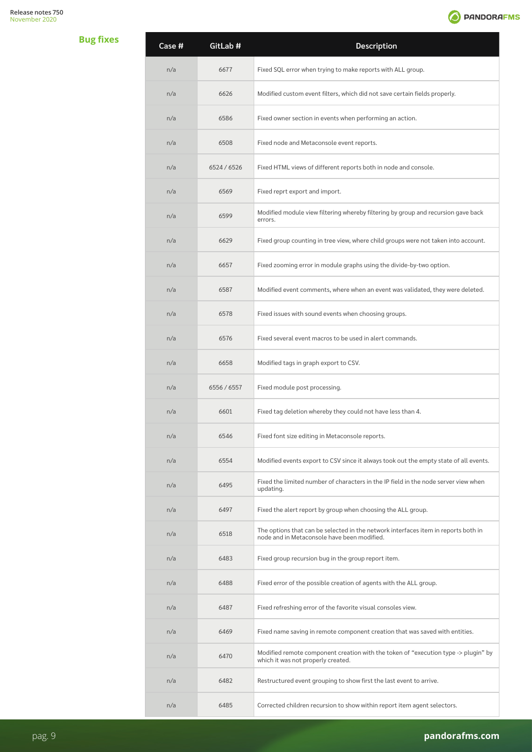

| Case # | GitLab #    | Description                                                                                                                       |
|--------|-------------|-----------------------------------------------------------------------------------------------------------------------------------|
| n/a    | 6677        | Fixed SQL error when trying to make reports with ALL group.                                                                       |
| n/a    | 6626        | Modified custom event filters, which did not save certain fields properly.                                                        |
| n/a    | 6586        | Fixed owner section in events when performing an action.                                                                          |
| n/a    | 6508        | Fixed node and Metaconsole event reports.                                                                                         |
| n/a    | 6524 / 6526 | Fixed HTML views of different reports both in node and console.                                                                   |
| n/a    | 6569        | Fixed reprt export and import.                                                                                                    |
| n/a    | 6599        | Modified module view filtering whereby filtering by group and recursion gave back<br>errors.                                      |
| n/a    | 6629        | Fixed group counting in tree view, where child groups were not taken into account.                                                |
| n/a    | 6657        | Fixed zooming error in module graphs using the divide-by-two option.                                                              |
| n/a    | 6587        | Modified event comments, where when an event was validated, they were deleted.                                                    |
| n/a    | 6578        | Fixed issues with sound events when choosing groups.                                                                              |
| n/a    | 6576        | Fixed several event macros to be used in alert commands.                                                                          |
| n/a    | 6658        | Modified tags in graph export to CSV.                                                                                             |
| n/a    | 6556 / 6557 | Fixed module post processing.                                                                                                     |
| n/a    | 6601        | Fixed tag deletion whereby they could not have less than 4.                                                                       |
| n/a    | 6546        | Fixed font size editing in Metaconsole reports.                                                                                   |
| n/a    | 6554        | Modified events export to CSV since it always took out the empty state of all events.                                             |
| n/a    | 6495        | Fixed the limited number of characters in the IP field in the node server view when<br>updating.                                  |
| n/a    | 6497        | Fixed the alert report by group when choosing the ALL group.                                                                      |
| n/a    | 6518        | The options that can be selected in the network interfaces item in reports both in<br>node and in Metaconsole have been modified. |
| n/a    | 6483        | Fixed group recursion bug in the group report item.                                                                               |
| n/a    | 6488        | Fixed error of the possible creation of agents with the ALL group.                                                                |
| n/a    | 6487        | Fixed refreshing error of the favorite visual consoles view.                                                                      |
| n/a    | 6469        | Fixed name saving in remote component creation that was saved with entities.                                                      |
| n/a    | 6470        | Modified remote component creation with the token of "execution type -> plugin" by<br>which it was not properly created.          |
| n/a    | 6482        | Restructured event grouping to show first the last event to arrive.                                                               |
| n/a    | 6485        | Corrected children recursion to show within report item agent selectors.                                                          |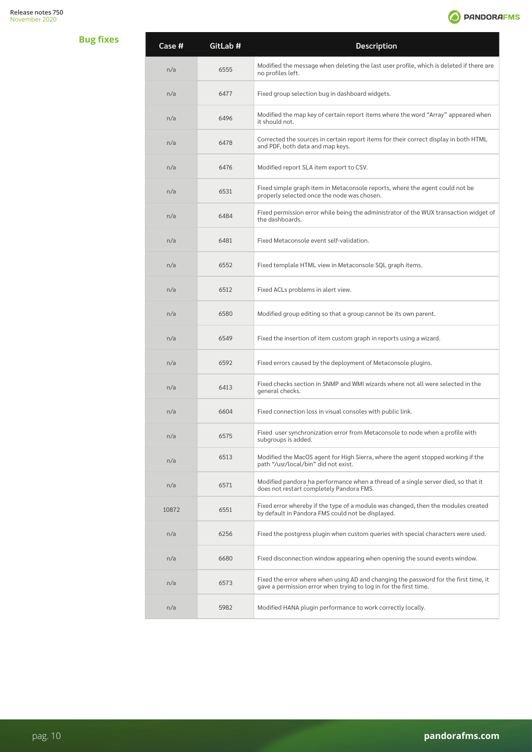

| Case # | GitLab # | Description                                                                                                                                               |
|--------|----------|-----------------------------------------------------------------------------------------------------------------------------------------------------------|
| n/a    | 6555     | Modified the message when deleting the last user profile, which is deleted if there are<br>no profiles left.                                              |
| n/a    | 6477     | Fixed group selection bug in dashboard widgets.                                                                                                           |
| n/a    | 6496     | Modified the map key of certain report items where the word "Array" appeared when<br>it should not.                                                       |
| n/a    | 6478     | Corrected the sources in certain report items for their correct display in both HTML<br>and PDF, both data and map keys.                                  |
| n/a    | 6476     | Modified report SLA item export to CSV.                                                                                                                   |
| n/a    | 6531     | Fixed simple graph item in Metaconsole reports, where the agent could not be<br>properly selected once the node was chosen.                               |
| n/a    | 6484     | Fixed permission error while being the administrator of the WUX transaction widget of<br>the dashboards.                                                  |
| n/a    | 6481     | Fixed Metaconsole event self-validation.                                                                                                                  |
| n/a    | 6552     | Fixed templale HTML view in Metaconsole SQL graph items.                                                                                                  |
| n/a    | 6512     | Fixed ACLs problems in alert view.                                                                                                                        |
| n/a    | 6580     | Modified group editing so that a group cannot be its own parent.                                                                                          |
| n/a    | 6549     | Fixed the insertion of item custom graph in reports using a wizard.                                                                                       |
| n/a    | 6592     | Fixed errors caused by the deployment of Metaconsole plugins.                                                                                             |
| n/a    | 6413     | Fixed checks section in SNMP and WMI wizards where not all were selected in the<br>general checks.                                                        |
| n/a    | 6604     | Fixed connection loss in visual consoles with public link.                                                                                                |
| n/a    | 6575     | Fixed user synchronization error from Metaconsole to node when a profile with<br>subgroups is added.                                                      |
| n/a    | 6513     | Modified the MacOS agent for High Sierra, where the agent stopped working if the<br>path "/usr/local/bin" did not exist.                                  |
| n/a    | 6571     | Modified pandora ha performance when a thread of a single server died, so that it<br>does not restart completely Pandora FMS.                             |
| 10872  | 6551     | Fixed error whereby if the type of a module was changed, then the modules created<br>by default in Pandora FMS could not be displayed.                    |
| n/a    | 6256     | Fixed the postgress plugin when custom queries with special characters were used.                                                                         |
| n/a    | 6680     | Fixed disconnection window appearing when opening the sound events window.                                                                                |
| n/a    | 6573     | Fixed the error where when using AD and changing the password for the first time, it<br>gave a permission error when trying to log in for the first time. |
| n/a    | 5982     | Modified HANA plugin performance to work correctly locally.                                                                                               |